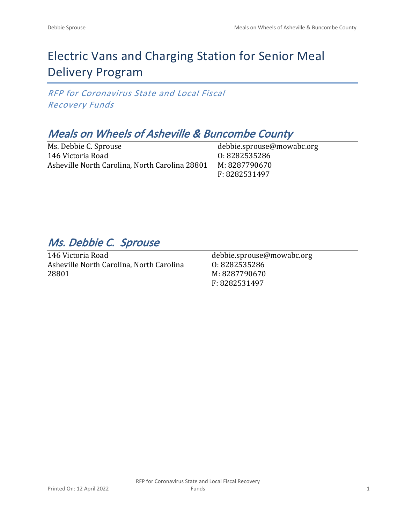# Electric Vans and Charging Station for Senior Meal Delivery Program

*RFP for Coronavirus State and Local Fiscal Recovery Funds*

## *Meals on Wheels of Asheville & Buncombe County*

Ms. Debbie C. Sprouse 146 Victoria Road Asheville North Carolina, North Carolina 28801

debbie.sprouse@mowabc.org O: 8282535286 M: 8287790670 F: 8282531497

*Ms. Debbie C. Sprouse* 

146 Victoria Road Asheville North Carolina, North Carolina 28801

debbie.sprouse@mowabc.org O: 8282535286 M: 8287790670 F: 8282531497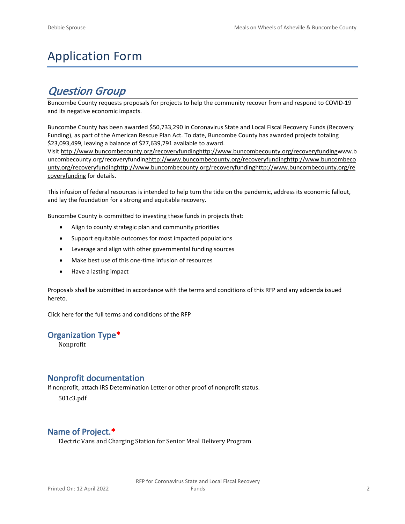# Application Form

## *Question Group*

Buncombe County requests proposals for projects to help the community recover from and respond to COVID-19 and its negative economic impacts.

Buncombe County has been awarded \$50,733,290 in Coronavirus State and Local Fiscal Recovery Funds (Recovery Funding), as part of the American Rescue Plan Act. To date, Buncombe County has awarded projects totaling \$23,093,499, leaving a balance of \$27,639,791 available to award.

Visit [http://www.buncombecounty.org/recoveryfundinghttp://www.buncombecounty.org/recoveryfundingwww.b](http://www.buncombecounty.org/recoveryfunding) [uncombecounty.org/recoveryfundinghttp://www.buncombecounty.org/recoveryfundinghttp://www.buncombeco](http://www.buncombecounty.org/recoveryfunding) [unty.org/recoveryfundinghttp://www.buncombecounty.org/recoveryfundinghttp://www.buncombecounty.org/re](http://www.buncombecounty.org/recoveryfunding) [coveryfunding](http://www.buncombecounty.org/recoveryfunding) for details.

This infusion of federal resources is intended to help turn the tide on the pandemic, address its economic fallout, and lay the foundation for a strong and equitable recovery.

Buncombe County is committed to investing these funds in projects that:

- Align to county strategic plan and community priorities
- Support equitable outcomes for most impacted populations
- Leverage and align with other governmental funding sources
- Make best use of this one-time infusion of resources
- Have a lasting impact

Proposals shall be submitted in accordance with the terms and conditions of this RFP and any addenda issued hereto.

Click [here](https://www.buncombecounty.org/common/purchasing/Buncombe%20Recovery%20Funding%20RFP%202022.pdf) for the full terms and conditions of the RFP

#### **Organization Type\***

Nonprofit

## **Nonprofit documentation**

If nonprofit, attach IRS Determination Letter or other proof of nonprofit status.

501c3.pdf

## **Name of Project.\***

Electric Vans and Charging Station for Senior Meal Delivery Program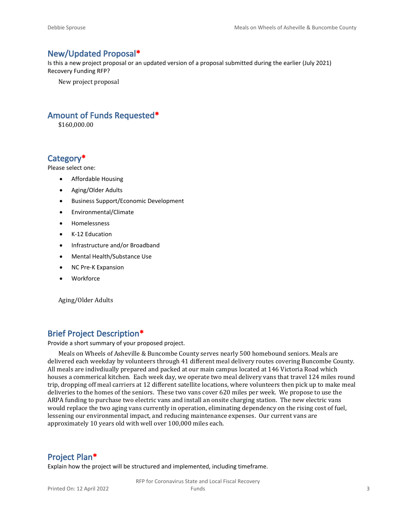## **New/Updated Proposal\***

Is this a new project proposal or an updated version of a proposal submitted during the earlier (July 2021) Recovery Funding RFP?

New project proposal

## **Amount of Funds Requested\***

\$160,000.00

## **Category\***

Please select one:

- Affordable Housing
- Aging/Older Adults
- Business Support/Economic Development
- Environmental/Climate
- Homelessness
- K-12 Education
- Infrastructure and/or Broadband
- Mental Health/Substance Use
- NC Pre-K Expansion
- Workforce

Aging/Older Adults

## **Brief Project Description\***

Provide a short summary of your proposed project.

Meals on Wheels of Asheville & Buncombe County serves nearly 500 homebound seniors. Meals are delivered each weekday by volunteers through 41 different meal delivery routes covering Buncombe County. All meals are indivdiually prepared and packed at our main campus located at 146 Victoria Road which houses a commerical kitchen. Each week day, we operate two meal delivery vans that travel 124 miles round trip, dropping off meal carriers at 12 different satellite locations, where volunteers then pick up to make meal deliveries to the homes of the seniors. These two vans cover 620 miles per week. We propose to use the ARPA funding to purchase two electric vans and install an onsite charging station. The new electric vans would replace the two aging vans currently in operation, eliminating dependency on the rising cost of fuel, lessening our environmental impact, and reducing maintenance expenses. Our current vans are approximately 10 years old with well over 100,000 miles each.

## **Project Plan\***

Explain how the project will be structured and implemented, including timeframe.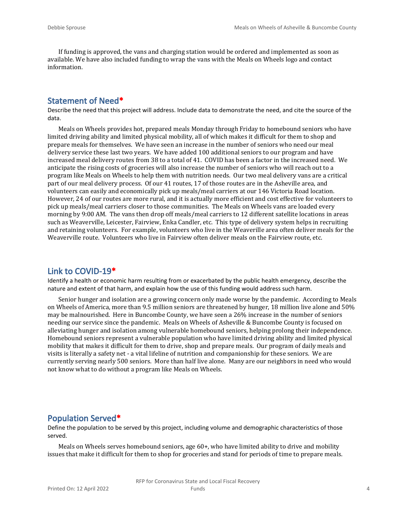If funding is approved, the vans and charging station would be ordered and implemented as soon as available. We have also included funding to wrap the vans with the Meals on Wheels logo and contact information.

## **Statement of Need\***

Describe the need that this project will address. Include data to demonstrate the need, and cite the source of the data.

Meals on Wheels provides hot, prepared meals Monday through Friday to homebound seniors who have limited driving ability and limited physical mobility, all of which makes it difficult for them to shop and prepare meals for themselves. We have seen an increase in the number of seniors who need our meal delivery service these last two years. We have added 100 additional seniors to our program and have increased meal delivery routes from 38 to a total of 41. COVID has been a factor in the increased need. We anticipate the rising costs of groceries will also increase the number of seniors who will reach out to a program like Meals on Wheels to help them with nutrition needs. Our two meal delivery vans are a critical part of our meal delivery process. Of our 41 routes, 17 of those routes are in the Asheville area, and volunteers can easily and economically pick up meals/meal carriers at our 146 Victoria Road location. However, 24 of our routes are more rural, and it is actually more efficient and cost effective for volunteers to pick up meals/meal carriers closer to those communities. The Meals on Wheels vans are loaded every morning by 9:00 AM. The vans then drop off meals/meal carriers to 12 different satellite locations in areas such as Weaverville, Leicester, Fairview, Enka Candler, etc. This type of delivery system helps in recruiting and retaining volunteers. For example, volunteers who live in the Weaverille area often deliver meals for the Weaverville route. Volunteers who live in Fairview often deliver meals on the Fairview route, etc.

## **Link to COVID-19\***

Identify a health or economic harm resulting from or exacerbated by the public health emergency, describe the nature and extent of that harm, and explain how the use of this funding would address such harm.

Senior hunger and isolation are a growing concern only made worse by the pandemic. According to Meals on Wheels of America, more than 9.5 million seniors are threatened by hunger, 18 million live alone and 50% may be malnourished. Here in Buncombe County, we have seen a 26% increase in the number of seniors needing our service since the pandemic. Meals on Wheels of Asheville & Buncombe County is focused on alleviating hunger and isolation among vulnerable homebound seniors, helping prolong their independence. Homebound seniors represent a vulnerable population who have limited driving ability and limited physical mobility that makes it difficult for them to drive, shop and prepare meals. Our program of daily meals and visits is literally a safety net - a vital lifeline of nutrition and companionship for these seniors. We are currently serving nearly 500 seniors. More than half live alone. Many are our neighbors in need who would not know what to do without a program like Meals on Wheels.

#### **Population Served\***

Define the population to be served by this project, including volume and demographic characteristics of those served.

Meals on Wheels serves homebound seniors, age 60+, who have limited ability to drive and mobility issues that make it difficult for them to shop for groceries and stand for periods of time to prepare meals.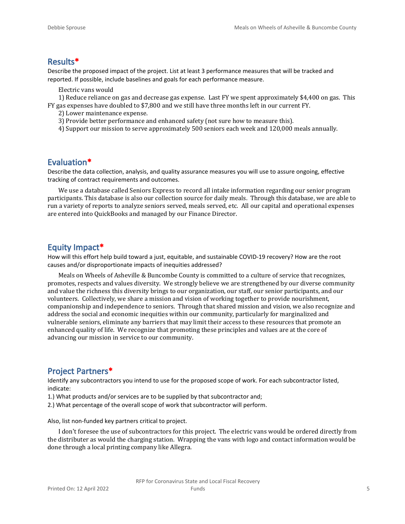## **Results\***

Describe the proposed impact of the project. List at least 3 performance measures that will be tracked and reported. If possible, include baselines and goals for each performance measure.

Electric vans would

1) Reduce reliance on gas and decrease gas expense. Last FY we spent approximately \$4,400 on gas. This FY gas expenses have doubled to \$7,800 and we still have three months left in our current FY.

- 2) Lower maintenance expense.
- 3) Provide better performance and enhanced safety (not sure how to measure this).
- 4) Support our mission to serve approximately 500 seniors each week and 120,000 meals annually.

#### **Evaluation\***

Describe the data collection, analysis, and quality assurance measures you will use to assure ongoing, effective tracking of contract requirements and outcomes.

We use a database called Seniors Express to record all intake information regarding our senior program participants. This database is also our collection source for daily meals. Through this database, we are able to run a variety of reports to analyze seniors served, meals served, etc. All our capital and operational expenses are entered into QuickBooks and managed by our Finance Director.

#### **Equity Impact\***

How will this effort help build toward a just, equitable, and sustainable COVID-19 recovery? How are the root causes and/or disproportionate impacts of inequities addressed?

Meals on Wheels of Asheville & Buncombe County is committed to a culture of service that recognizes, promotes, respects and values diversity. We strongly believe we are strengthened by our diverse community and value the richness this diversity brings to our organization, our staff, our senior participants, and our volunteers. Collectively, we share a mission and vision of working together to provide nourishment, companionship and independence to seniors. Through that shared mission and vision, we also recognize and address the social and economic inequities within our community, particularly for marginalized and vulnerable seniors, eliminate any barriers that may limit their access to these resources that promote an enhanced quality of life. We recognize that promoting these principles and values are at the core of advancing our mission in service to our community.

## **Project Partners\***

Identify any subcontractors you intend to use for the proposed scope of work. For each subcontractor listed, indicate:

- 1.) What products and/or services are to be supplied by that subcontractor and;
- 2.) What percentage of the overall scope of work that subcontractor will perform.

Also, list non-funded key partners critical to project.

I don't foresee the use of subcontractors for this project. The electric vans would be ordered directly from the distributer as would the charging station. Wrapping the vans with logo and contact information would be done through a local printing company like Allegra.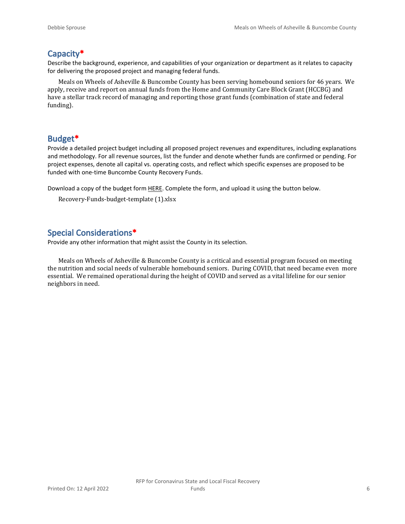## **Capacity\***

Describe the background, experience, and capabilities of your organization or department as it relates to capacity for delivering the proposed project and managing federal funds.

Meals on Wheels of Asheville & Buncombe County has been serving homebound seniors for 46 years. We apply, receive and report on annual funds from the Home and Community Care Block Grant (HCCBG) and have a stellar track record of managing and reporting those grant funds (combination of state and federal funding).

## **Budget\***

Provide a detailed project budget including all proposed project revenues and expenditures, including explanations and methodology. For all revenue sources, list the funder and denote whether funds are confirmed or pending. For project expenses, denote all capital vs. operating costs, and reflect which specific expenses are proposed to be funded with one-time Buncombe County Recovery Funds.

Download a copy of the budget form [HERE](https://buncombecounty.org/common/community-investment/grants/early-childhood-education/Recovery-Funds-budget-template.xlsx). Complete the form, and upload it using the button below.

```
Recovery-Funds-budget-template (1).xlsx
```
## **Special Considerations\***

Provide any other information that might assist the County in its selection.

Meals on Wheels of Asheville & Buncombe County is a critical and essential program focused on meeting the nutrition and social needs of vulnerable homebound seniors. During COVID, that need became even more essential. We remained operational during the height of COVID and served as a vital lifeline for our senior neighbors in need.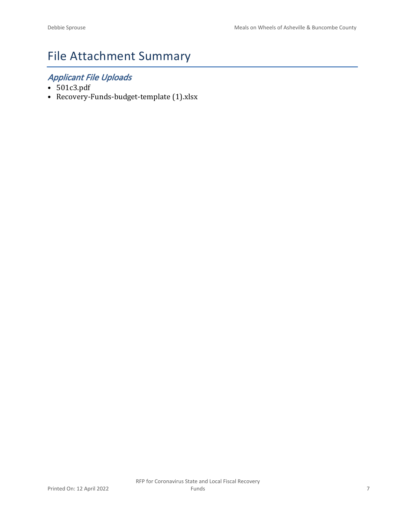# File Attachment Summary

## *Applicant File Uploads*

- 501c3.pdf
- Recovery-Funds-budget-template (1).xlsx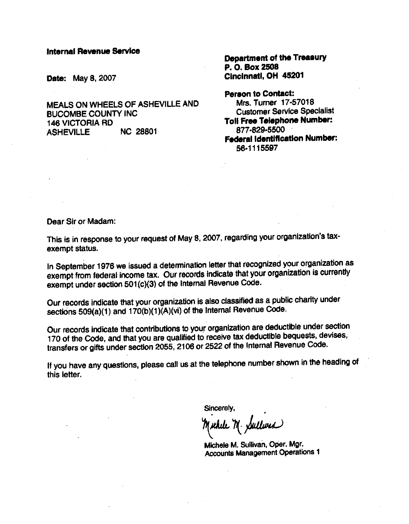#### **Internal Revenue Service**

**Date: May 8, 2007** 

MEALS ON WHEELS OF ASHEVILLE AND **BUCOMBE COUNTY INC. 146 VICTORIA RD ASHEVILLE NC 28801** 

**Department of the Treasury** P. O. Box 2508 Cincinnati. OH 45201

**Person to Contact:** Mrs. Turner 17-57018 **Customer Service Specialist** Toil Free Telephone Number: 877-829-5500 **Federal Identification Number:** 56-1115597

Dear Sir or Madam:

This is in response to your request of May 8, 2007, regarding your organization's taxexempt status.

In September 1976 we issued a determination letter that recognized your organization as exempt from federal income tax. Our records indicate that your organization is currently exempt under section 501(c)(3) of the Internal Revenue Code.

Our records indicate that your organization is also classified as a public charity under sections 509(a)(1) and 170(b)(1)(A)(vi) of the Internal Revenue Code.

Our records indicate that contributions to your organization are deductible under section 170 of the Code, and that you are qualified to receive tax deductible bequests, devises, transfers or gifts under section 2055, 2106 or 2522 of the Internal Revenue Code.

If you have any questions, please call us at the telephone number shown in the heading of this letter.

Sincerely,

while M. Sullwer

Michele M. Sullivan, Oper. Mgr. **Accounts Management Operations 1**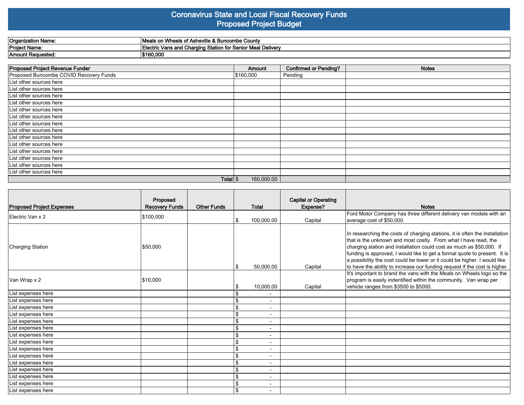## **Coronavirus State and Local Fiscal Recovery Funds Proposed Project Budget**

| Organization Name: | yheels of Asheville & Buncombe County…<br>l Meals on              |
|--------------------|-------------------------------------------------------------------|
| Project Name:      | `ctric Vans and Charging Station for Senior Meal Delivery<br>Elec |
| 'Amount Requested. | \$160,000                                                         |

| Proposed Project Revenue Funder        | Amount     | <b>Confirmed or Pending?</b> | <b>Notes</b> |
|----------------------------------------|------------|------------------------------|--------------|
| Proposed Buncombe COVID Recovery Funds | \$160,000  | Pending                      |              |
| List other sources here                |            |                              |              |
| List other sources here                |            |                              |              |
| List other sources here                |            |                              |              |
| List other sources here                |            |                              |              |
| List other sources here                |            |                              |              |
| List other sources here                |            |                              |              |
| List other sources here                |            |                              |              |
| List other sources here                |            |                              |              |
| List other sources here                |            |                              |              |
| List other sources here                |            |                              |              |
| List other sources here                |            |                              |              |
| List other sources here                |            |                              |              |
| List other sources here                |            |                              |              |
| List other sources here                |            |                              |              |
| Total $\frac{1}{3}$                    | 160,000.00 |                              |              |

| <b>Proposed Project Expenses</b> | Proposed<br><b>Recovery Funds</b> | <b>Other Funds</b> |                | <b>Total</b>                 | <b>Capital or Operating</b><br>Expense? | <b>Notes</b>                                                                                                                                                                                                                                                                                                                                                                                                                                                   |
|----------------------------------|-----------------------------------|--------------------|----------------|------------------------------|-----------------------------------------|----------------------------------------------------------------------------------------------------------------------------------------------------------------------------------------------------------------------------------------------------------------------------------------------------------------------------------------------------------------------------------------------------------------------------------------------------------------|
| Electric Van x 2                 | \$100,000                         |                    |                |                              |                                         | Ford Motor Company has three different delivery van models with an                                                                                                                                                                                                                                                                                                                                                                                             |
|                                  |                                   |                    |                | 100,000.00                   | Capital                                 | average cost of \$50,000.                                                                                                                                                                                                                                                                                                                                                                                                                                      |
| Charging Station                 | \$50,000                          |                    |                | 50,000.00                    | Capital                                 | In researching the costs of charging stations, it is often the installation<br>that is the unknown and most costly. From what I have read, the<br>charging station and installation could cost as much as \$50,000. If<br>funding is approved, I would like to get a formal quote to present. It is<br>a possibility the cost could be lower or it could be higher. I would like<br>to have the ability to increase our funding request if the cost is higher. |
|                                  |                                   |                    |                |                              |                                         | It's important to brand the vans with the Meals on Wheels logo so the                                                                                                                                                                                                                                                                                                                                                                                          |
| Van Wrap x 2                     | \$10,000                          |                    |                |                              |                                         | program is easily indentified within the community. Van wrap per                                                                                                                                                                                                                                                                                                                                                                                               |
|                                  |                                   |                    | S              | 10,000.00                    | Capital                                 | vehicle ranges from \$3500 to \$5000.                                                                                                                                                                                                                                                                                                                                                                                                                          |
| List expenses here               |                                   |                    |                | $\overline{\phantom{a}}$     |                                         |                                                                                                                                                                                                                                                                                                                                                                                                                                                                |
| List expenses here               |                                   |                    | \$             | $\overline{\phantom{a}}$     |                                         |                                                                                                                                                                                                                                                                                                                                                                                                                                                                |
| List expenses here               |                                   |                    | \$             | $\blacksquare$               |                                         |                                                                                                                                                                                                                                                                                                                                                                                                                                                                |
| List expenses here               |                                   |                    | \$             | $\overline{\phantom{a}}$     |                                         |                                                                                                                                                                                                                                                                                                                                                                                                                                                                |
| List expenses here               |                                   |                    | \$             | $\overline{\phantom{0}}$     |                                         |                                                                                                                                                                                                                                                                                                                                                                                                                                                                |
| List expenses here               |                                   |                    | \$             |                              |                                         |                                                                                                                                                                                                                                                                                                                                                                                                                                                                |
| List expenses here               |                                   |                    | \$             |                              |                                         |                                                                                                                                                                                                                                                                                                                                                                                                                                                                |
| List expenses here               |                                   |                    | \$             | $\overline{\phantom{a}}$     |                                         |                                                                                                                                                                                                                                                                                                                                                                                                                                                                |
| List expenses here               |                                   |                    | \$             | $\overline{\phantom{a}}$     |                                         |                                                                                                                                                                                                                                                                                                                                                                                                                                                                |
| List expenses here               |                                   |                    | \$             | $\qquad \qquad \blacksquare$ |                                         |                                                                                                                                                                                                                                                                                                                                                                                                                                                                |
| List expenses here               |                                   |                    | \$             | $\overline{\phantom{a}}$     |                                         |                                                                                                                                                                                                                                                                                                                                                                                                                                                                |
| List expenses here               |                                   |                    | \$             | $\overline{\phantom{a}}$     |                                         |                                                                                                                                                                                                                                                                                                                                                                                                                                                                |
| List expenses here               |                                   |                    | \$             | $\overline{\phantom{0}}$     |                                         |                                                                                                                                                                                                                                                                                                                                                                                                                                                                |
| List expenses here               |                                   |                    | \$             |                              |                                         |                                                                                                                                                                                                                                                                                                                                                                                                                                                                |
| List expenses here               |                                   |                    | $\mathfrak{L}$ | $\overline{\phantom{0}}$     |                                         |                                                                                                                                                                                                                                                                                                                                                                                                                                                                |